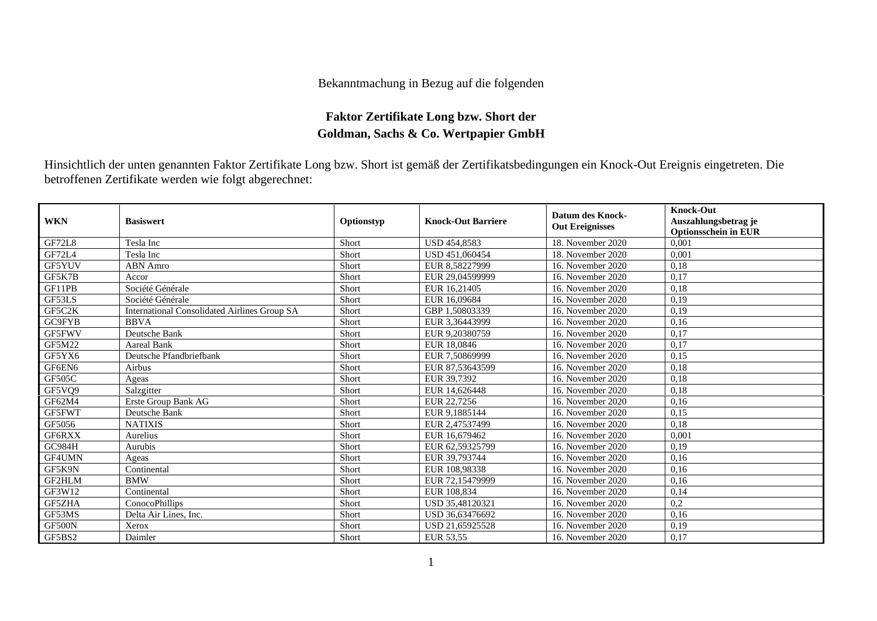## Bekanntmachung in Bezug auf die folgenden

## **Faktor Zertifikate Long bzw. Short der Goldman, Sachs & Co. Wertpapier GmbH**

Hinsichtlich der unten genannten Faktor Zertifikate Long bzw. Short ist gemäß der Zertifikatsbedingungen ein Knock-Out Ereignis eingetreten. Die betroffenen Zertifikate werden wie folgt abgerechnet:

| <b>WKN</b>    | <b>Basiswert</b>                             | Optionstyp | <b>Knock-Out Barriere</b> | <b>Datum des Knock-</b><br><b>Out Ereignisses</b> | <b>Knock-Out</b><br>Auszahlungsbetrag je<br><b>Optionsschein in EUR</b> |
|---------------|----------------------------------------------|------------|---------------------------|---------------------------------------------------|-------------------------------------------------------------------------|
| <b>GF72L8</b> | Tesla Inc                                    | Short      | <b>USD 454,8583</b>       | 18. November 2020                                 | 0.001                                                                   |
| GF72L4        | Tesla Inc                                    | Short      | USD 451,060454            | 18. November 2020                                 | 0,001                                                                   |
| GF5YUV        | ABN Amro                                     | Short      | EUR 8,58227999            | 16. November 2020                                 | 0,18                                                                    |
| GF5K7B        | Accor                                        | Short      | EUR 29,04599999           | 16. November 2020                                 | 0,17                                                                    |
| GF11PB        | Société Générale                             | Short      | EUR 16.21405              | 16. November 2020                                 | 0.18                                                                    |
| GF53LS        | Société Générale                             | Short      | EUR 16,09684              | 16. November 2020                                 | 0,19                                                                    |
| GF5C2K        | International Consolidated Airlines Group SA | Short      | GBP 1,50803339            | 16. November 2020                                 | 0,19                                                                    |
| GC9FYB        | <b>BBVA</b>                                  | Short      | EUR 3,36443999            | 16. November 2020                                 | 0,16                                                                    |
| GF5FWV        | Deutsche Bank                                | Short      | EUR 9,20380759            | 16. November 2020                                 | 0,17                                                                    |
| GF5M22        | <b>Aareal Bank</b>                           | Short      | EUR 18,0846               | 16. November 2020                                 | 0,17                                                                    |
| GF5YX6        | Deutsche Pfandbriefbank                      | Short      | EUR 7,50869999            | 16. November 2020                                 | 0,15                                                                    |
| GF6EN6        | Airbus                                       | Short      | EUR 87.53643599           | 16. November 2020                                 | 0,18                                                                    |
| GF505C        | Ageas                                        | Short      | EUR 39.7392               | 16. November 2020                                 | 0,18                                                                    |
| GF5VQ9        | Salzgitter                                   | Short      | EUR 14,626448             | 16. November 2020                                 | 0,18                                                                    |
| GF62M4        | Erste Group Bank AG                          | Short      | EUR 22,7256               | 16. November 2020                                 | 0,16                                                                    |
| GF5FWT        | Deutsche Bank                                | Short      | EUR 9,1885144             | 16. November 2020                                 | 0,15                                                                    |
| GF5056        | <b>NATIXIS</b>                               | Short      | EUR 2,47537499            | 16. November 2020                                 | 0.18                                                                    |
| GF6RXX        | Aurelius                                     | Short      | EUR 16.679462             | 16. November 2020                                 | 0,001                                                                   |
| <b>GC984H</b> | Aurubis                                      | Short      | EUR 62.59325799           | 16. November 2020                                 | 0.19                                                                    |
| GF4UMN        | Ageas                                        | Short      | EUR 39,793744             | 16. November 2020                                 | 0,16                                                                    |
| GF5K9N        | Continental                                  | Short      | EUR 108,98338             | 16. November 2020                                 | 0,16                                                                    |
| GF2HLM        | <b>BMW</b>                                   | Short      | EUR 72.15479999           | 16. November 2020                                 | 0,16                                                                    |
| GF3W12        | Continental                                  | Short      | EUR 108,834               | 16. November 2020                                 | 0,14                                                                    |
| GF5ZHA        | ConocoPhillips                               | Short      | USD 35,48120321           | 16. November 2020                                 | 0,2                                                                     |
| GF53MS        | Delta Air Lines, Inc.                        | Short      | USD 36,63476692           | 16. November 2020                                 | 0,16                                                                    |
| GF500N        | Xerox                                        | Short      | USD 21,65925528           | 16. November 2020                                 | 0,19                                                                    |
| GF5BS2        | Daimler                                      | Short      | EUR 53,55                 | 16. November 2020                                 | 0,17                                                                    |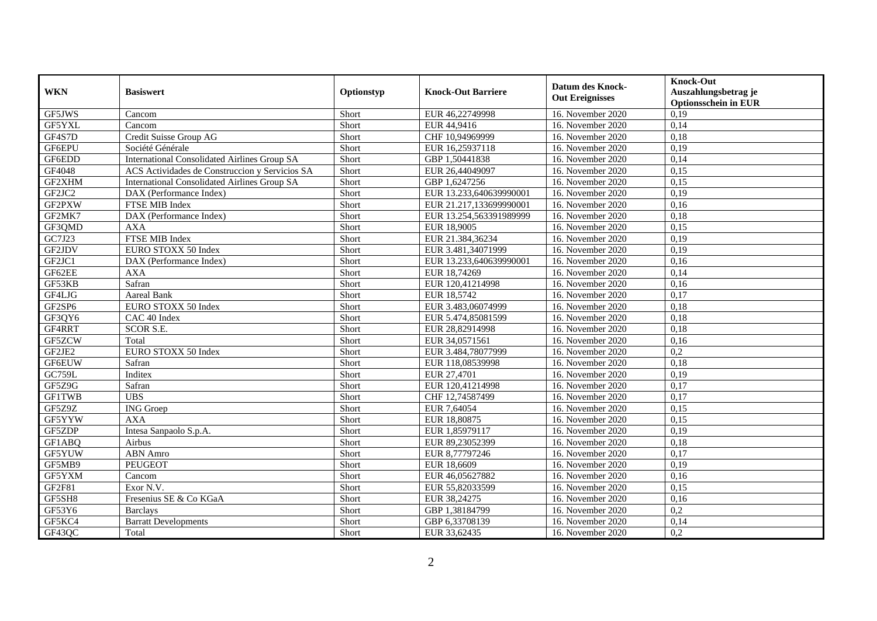| <b>WKN</b>    | <b>Basiswert</b>                               | Optionstyp | <b>Knock-Out Barriere</b> | Datum des Knock-<br><b>Out Ereignisses</b> | <b>Knock-Out</b><br>Auszahlungsbetrag je<br><b>Optionsschein in EUR</b> |
|---------------|------------------------------------------------|------------|---------------------------|--------------------------------------------|-------------------------------------------------------------------------|
| GF5JWS        | Cancom                                         | Short      | EUR 46,22749998           | 16. November 2020                          | 0,19                                                                    |
| GF5YXL        | Cancom                                         | Short      | EUR 44,9416               | 16. November 2020                          | 0,14                                                                    |
| GF4S7D        | Credit Suisse Group AG                         | Short      | CHF 10,94969999           | 16. November 2020                          | 0,18                                                                    |
| GF6EPU        | Société Générale                               | Short      | EUR 16,25937118           | 16. November 2020                          | 0,19                                                                    |
| GF6EDD        | International Consolidated Airlines Group SA   | Short      | GBP 1,50441838            | 16. November 2020                          | 0,14                                                                    |
| GF4048        | ACS Actividades de Construccion y Servicios SA | Short      | EUR 26,44049097           | 16. November 2020                          | 0,15                                                                    |
| GF2XHM        | International Consolidated Airlines Group SA   | Short      | GBP 1,6247256             | 16. November 2020                          | 0,15                                                                    |
| GF2JC2        | DAX (Performance Index)                        | Short      | EUR 13.233,640639990001   | 16. November 2020                          | 0,19                                                                    |
| GF2PXW        | <b>FTSE MIB Index</b>                          | Short      | EUR 21.217,133699990001   | 16. November 2020                          | 0,16                                                                    |
| GF2MK7        | DAX (Performance Index)                        | Short      | EUR 13.254,563391989999   | 16. November 2020                          | 0,18                                                                    |
| GF3QMD        | <b>AXA</b>                                     | Short      | EUR 18,9005               | 16. November 2020                          | 0,15                                                                    |
| GC7J23        | <b>FTSE MIB Index</b>                          | Short      | EUR 21.384,36234          | 16. November 2020                          | 0,19                                                                    |
| GF2JDV        | EURO STOXX 50 Index                            | Short      | EUR 3.481,34071999        | 16. November 2020                          | 0,19                                                                    |
| GF2JC1        | DAX (Performance Index)                        | Short      | EUR 13.233,640639990001   | 16. November 2020                          | 0,16                                                                    |
| GF62EE        | <b>AXA</b>                                     | Short      | EUR 18,74269              | 16. November 2020                          | 0,14                                                                    |
| GF53KB        | Safran                                         | Short      | EUR 120,41214998          | 16. November 2020                          | 0,16                                                                    |
| GF4LJG        | <b>Aareal Bank</b>                             | Short      | EUR 18,5742               | 16. November 2020                          | 0,17                                                                    |
| GF2SP6        | EURO STOXX 50 Index                            | Short      | EUR 3.483,06074999        | 16. November 2020                          | 0,18                                                                    |
| GF3QY6        | CAC 40 Index                                   | Short      | EUR 5.474,85081599        | 16. November 2020                          | 0,18                                                                    |
| GF4RRT        | <b>SCOR S.E.</b>                               | Short      | EUR 28,82914998           | 16. November 2020                          | 0,18                                                                    |
| GF5ZCW        | Total                                          | Short      | EUR 34,0571561            | 16. November 2020                          | 0,16                                                                    |
| GF2JE2        | EURO STOXX 50 Index                            | Short      | EUR 3.484,78077999        | 16. November 2020                          | 0,2                                                                     |
| <b>GF6EUW</b> | Safran                                         | Short      | EUR 118,08539998          | 16. November 2020                          | 0,18                                                                    |
| GC759L        | Inditex                                        | Short      | EUR 27,4701               | 16. November 2020                          | 0,19                                                                    |
| GF5Z9G        | Safran                                         | Short      | EUR 120,41214998          | 16. November 2020                          | 0,17                                                                    |
| <b>GF1TWB</b> | <b>UBS</b>                                     | Short      | CHF 12,74587499           | 16. November 2020                          | 0,17                                                                    |
| GF5Z9Z        | <b>ING</b> Groep                               | Short      | EUR 7,64054               | 16. November 2020                          | 0,15                                                                    |
| GF5YYW        | <b>AXA</b>                                     | Short      | EUR 18,80875              | 16. November 2020                          | 0,15                                                                    |
| GF5ZDP        | Intesa Sanpaolo S.p.A.                         | Short      | EUR 1,85979117            | 16. November 2020                          | 0,19                                                                    |
| GF1ABQ        | Airbus                                         | Short      | EUR 89,23052399           | 16. November 2020                          | 0,18                                                                    |
| GF5YUW        | <b>ABN</b> Amro                                | Short      | EUR 8,77797246            | 16. November 2020                          | 0,17                                                                    |
| GF5MB9        | <b>PEUGEOT</b>                                 | Short      | EUR 18,6609               | 16. November 2020                          | 0,19                                                                    |
| GF5YXM        | Cancom                                         | Short      | EUR 46,05627882           | 16. November 2020                          | 0,16                                                                    |
| GF2F81        | Exor N.V.                                      | Short      | EUR 55,82033599           | 16. November 2020                          | 0,15                                                                    |
| GF5SH8        | Fresenius SE & Co KGaA                         | Short      | EUR 38,24275              | 16. November 2020                          | 0,16                                                                    |
| GF53Y6        | <b>Barclays</b>                                | Short      | GBP 1,38184799            | 16. November 2020                          | 0,2                                                                     |
| GF5KC4        | <b>Barratt Developments</b>                    | Short      | GBP 6,33708139            | 16. November 2020                          | 0,14                                                                    |
| GF43QC        | Total                                          | Short      | EUR 33,62435              | 16. November 2020                          | 0,2                                                                     |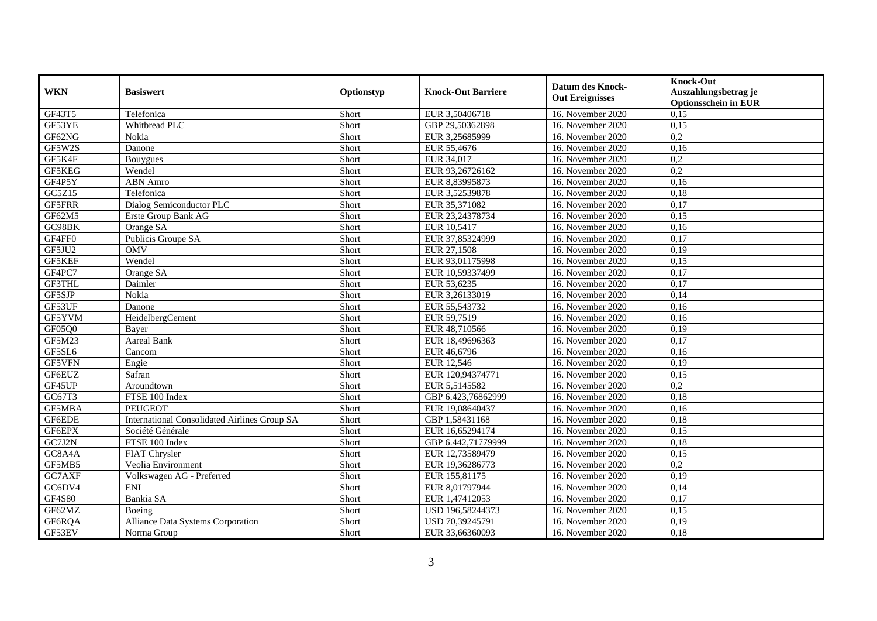| <b>WKN</b>    | <b>Basiswert</b>                                    | Optionstyp | <b>Knock-Out Barriere</b> | Datum des Knock-<br><b>Out Ereignisses</b> | <b>Knock-Out</b><br>Auszahlungsbetrag je<br><b>Optionsschein in EUR</b> |
|---------------|-----------------------------------------------------|------------|---------------------------|--------------------------------------------|-------------------------------------------------------------------------|
| GF43T5        | Telefonica                                          | Short      | EUR 3,50406718            | 16. November 2020                          | 0,15                                                                    |
| GF53YE        | Whitbread PLC                                       | Short      | GBP 29,50362898           | 16. November 2020                          | 0,15                                                                    |
| GF62NG        | Nokia                                               | Short      | EUR 3,25685999            | 16. November 2020                          | $\overline{0,2}$                                                        |
| GF5W2S        | Danone                                              | Short      | EUR 55,4676               | 16. November 2020                          | 0,16                                                                    |
| GF5K4F        | Bouygues                                            | Short      | EUR 34,017                | 16. November 2020                          | 0,2                                                                     |
| GF5KEG        | Wendel                                              | Short      | EUR 93,26726162           | 16. November 2020                          | 0,2                                                                     |
| GF4P5Y        | <b>ABN</b> Amro                                     | Short      | EUR 8,83995873            | 16. November 2020                          | 0,16                                                                    |
| GC5Z15        | Telefonica                                          | Short      | EUR 3,52539878            | 16. November 2020                          | 0,18                                                                    |
| <b>GF5FRR</b> | Dialog Semiconductor PLC                            | Short      | EUR 35,371082             | 16. November 2020                          | 0,17                                                                    |
| GF62M5        | Erste Group Bank AG                                 | Short      | EUR 23,24378734           | 16. November 2020                          | 0,15                                                                    |
| GC98BK        | Orange SA                                           | Short      | EUR 10,5417               | 16. November 2020                          | 0,16                                                                    |
| GF4FF0        | Publicis Groupe SA                                  | Short      | EUR 37,85324999           | 16. November 2020                          | 0,17                                                                    |
| GF5JU2        | <b>OMV</b>                                          | Short      | EUR 27,1508               | 16. November 2020                          | 0,19                                                                    |
| GF5KEF        | Wendel                                              | Short      | EUR 93,01175998           | 16. November 2020                          | 0,15                                                                    |
| GF4PC7        | Orange SA                                           | Short      | EUR 10,59337499           | 16. November 2020                          | 0,17                                                                    |
| GF3THL        | Daimler                                             | Short      | EUR 53,6235               | 16. November 2020                          | 0,17                                                                    |
| GF5SJP        | Nokia                                               | Short      | EUR 3,26133019            | 16. November 2020                          | 0,14                                                                    |
| GF53UF        | Danone                                              | Short      | EUR 55,543732             | 16. November 2020                          | 0,16                                                                    |
| GF5YVM        | HeidelbergCement                                    | Short      | EUR 59,7519               | 16. November 2020                          | 0,16                                                                    |
| GF05Q0        | Bayer                                               | Short      | EUR 48,710566             | 16. November 2020                          | 0,19                                                                    |
| GF5M23        | Aareal Bank                                         | Short      | EUR 18,49696363           | 16. November 2020                          | 0,17                                                                    |
| GF5SL6        | Cancom                                              | Short      | EUR 46,6796               | 16. November 2020                          | 0,16                                                                    |
| GF5VFN        | Engie                                               | Short      | EUR 12,546                | 16. November 2020                          | 0,19                                                                    |
| GF6EUZ        | Safran                                              | Short      | EUR 120,94374771          | 16. November 2020                          | 0,15                                                                    |
| GF45UP        | Aroundtown                                          | Short      | EUR 5,5145582             | 16. November 2020                          | 0,2                                                                     |
| GC67T3        | FTSE 100 Index                                      | Short      | GBP 6.423,76862999        | 16. November 2020                          | 0,18                                                                    |
| GF5MBA        | <b>PEUGEOT</b>                                      | Short      | EUR 19,08640437           | 16. November 2020                          | 0,16                                                                    |
| GF6EDE        | <b>International Consolidated Airlines Group SA</b> | Short      | GBP 1,58431168            | 16. November 2020                          | 0,18                                                                    |
| GF6EPX        | Société Générale                                    | Short      | EUR 16,65294174           | 16. November 2020                          | 0,15                                                                    |
| GC7J2N        | FTSE 100 Index                                      | Short      | GBP 6.442,71779999        | 16. November 2020                          | 0,18                                                                    |
| GC8A4A        | FIAT Chrysler                                       | Short      | EUR 12,73589479           | 16. November 2020                          | 0,15                                                                    |
| GF5MB5        | Veolia Environment                                  | Short      | EUR 19,36286773           | 16. November 2020                          | 0,2                                                                     |
| GC7AXF        | Volkswagen AG - Preferred                           | Short      | EUR 155,81175             | 16. November 2020                          | 0,19                                                                    |
| GC6DV4        | <b>ENI</b>                                          | Short      | EUR 8,01797944            | 16. November 2020                          | 0,14                                                                    |
| <b>GF4S80</b> | Bankia SA                                           | Short      | EUR 1,47412053            | 16. November 2020                          | 0,17                                                                    |
| GF62MZ        | Boeing                                              | Short      | USD 196,58244373          | 16. November 2020                          | 0,15                                                                    |
| GF6RQA        | <b>Alliance Data Systems Corporation</b>            | Short      | USD 70,39245791           | 16. November 2020                          | 0,19                                                                    |
| GF53EV        | Norma Group                                         | Short      | EUR 33,66360093           | 16. November 2020                          | 0,18                                                                    |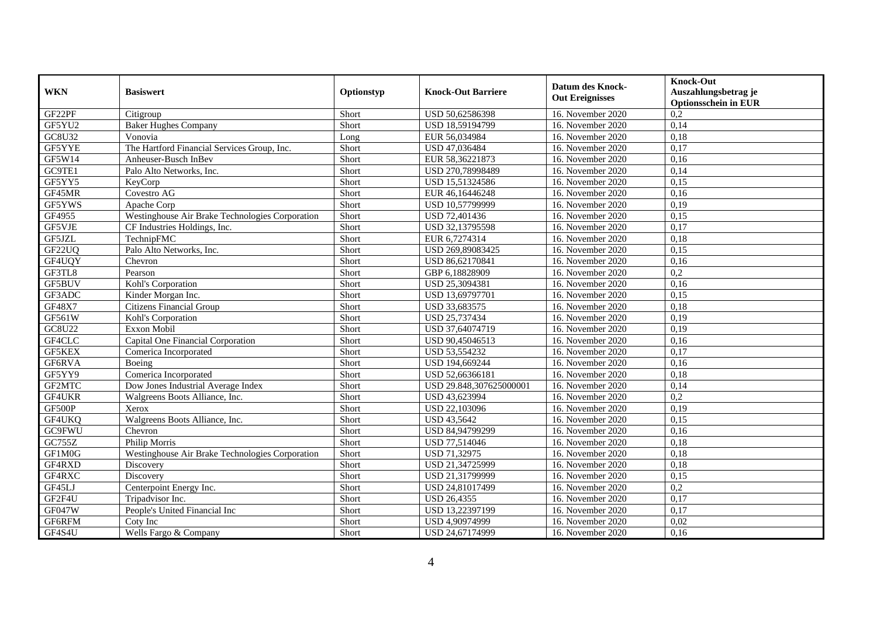| <b>WKN</b>    | <b>Basiswert</b>                                | Optionstyp | <b>Knock-Out Barriere</b> | <b>Datum des Knock-</b><br><b>Out Ereignisses</b> | <b>Knock-Out</b><br>Auszahlungsbetrag je<br><b>Optionsschein in EUR</b> |
|---------------|-------------------------------------------------|------------|---------------------------|---------------------------------------------------|-------------------------------------------------------------------------|
| GF22PF        | Citigroup                                       | Short      | USD 50,62586398           | 16. November 2020                                 | $\overline{0,2}$                                                        |
| GF5YU2        | <b>Baker Hughes Company</b>                     | Short      | USD 18,59194799           | 16. November 2020                                 | 0,14                                                                    |
| GC8U32        | Vonovia                                         | Long       | EUR 56,034984             | 16. November 2020                                 | 0,18                                                                    |
| GF5YYE        | The Hartford Financial Services Group, Inc.     | Short      | USD 47,036484             | 16. November 2020                                 | 0,17                                                                    |
| GF5W14        | Anheuser-Busch InBev                            | Short      | EUR 58,36221873           | 16. November $2020$                               | 0,16                                                                    |
| GC9TE1        | Palo Alto Networks, Inc.                        | Short      | USD 270,78998489          | 16. November 2020                                 | 0,14                                                                    |
| GF5YY5        | KeyCorp                                         | Short      | USD 15,51324586           | 16. November 2020                                 | 0,15                                                                    |
| GF45MR        | Covestro AG                                     | Short      | EUR 46,16446248           | 16. November 2020                                 | 0,16                                                                    |
| GF5YWS        | Apache Corp                                     | Short      | USD 10,57799999           | 16. November 2020                                 | 0,19                                                                    |
| GF4955        | Westinghouse Air Brake Technologies Corporation | Short      | USD 72,401436             | 16. November 2020                                 | 0,15                                                                    |
| GF5VJE        | CF Industries Holdings, Inc.                    | Short      | USD 32,13795598           | 16. November 2020                                 | 0,17                                                                    |
| GF5JZL        | TechnipFMC                                      | Short      | EUR 6,7274314             | 16. November 2020                                 | 0,18                                                                    |
| GF22UQ        | Palo Alto Networks, Inc.                        | Short      | USD 269,89083425          | 16. November 2020                                 | 0,15                                                                    |
| GF4UQY        | Chevron                                         | Short      | USD 86,62170841           | 16. November 2020                                 | 0,16                                                                    |
| GF3TL8        | Pearson                                         | Short      | GBP 6,18828909            | 16. November 2020                                 | 0,2                                                                     |
| GF5BUV        | Kohl's Corporation                              | Short      | USD 25,3094381            | 16. November 2020                                 | 0,16                                                                    |
| GF3ADC        | Kinder Morgan Inc.                              | Short      | USD 13,69797701           | 16. November 2020                                 | 0,15                                                                    |
| GF48X7        | Citizens Financial Group                        | Short      | USD 33,683575             | 16. November 2020                                 | 0,18                                                                    |
| GF561W        | Kohl's Corporation                              | Short      | USD 25,737434             | 16. November 2020                                 | 0,19                                                                    |
| GC8U22        | Exxon Mobil                                     | Short      | USD 37,64074719           | 16. November 2020                                 | 0,19                                                                    |
| GF4CLC        | Capital One Financial Corporation               | Short      | USD 90,45046513           | 16. November 2020                                 | 0,16                                                                    |
| GF5KEX        | Comerica Incorporated                           | Short      | USD 53,554232             | 16. November 2020                                 | 0,17                                                                    |
| GF6RVA        | Boeing                                          | Short      | USD 194,669244            | 16. November 2020                                 | 0,16                                                                    |
| GF5YY9        | Comerica Incorporated                           | Short      | USD 52,66366181           | 16. November 2020                                 | 0,18                                                                    |
| GF2MTC        | Dow Jones Industrial Average Index              | Short      | USD 29.848,307625000001   | 16. November 2020                                 | 0,14                                                                    |
| GF4UKR        | Walgreens Boots Alliance, Inc.                  | Short      | USD 43,623994             | 16. November 2020                                 | 0,2                                                                     |
| GF500P        | Xerox                                           | Short      | USD 22,103096             | 16. November 2020                                 | 0,19                                                                    |
| GF4UKQ        | Walgreens Boots Alliance, Inc.                  | Short      | <b>USD 43,5642</b>        | 16. November 2020                                 | 0,15                                                                    |
| GC9FWU        | Chevron                                         | Short      | USD 84,94799299           | 16. November 2020                                 | 0,16                                                                    |
| <b>GC755Z</b> | Philip Morris                                   | Short      | USD 77,514046             | 16. November 2020                                 | 0,18                                                                    |
| GF1M0G        | Westinghouse Air Brake Technologies Corporation | Short      | USD 71,32975              | 16. November 2020                                 | 0,18                                                                    |
| GF4RXD        | Discovery                                       | Short      | USD 21,34725999           | 16. November 2020                                 | 0,18                                                                    |
| GF4RXC        | Discovery                                       | Short      | USD 21,31799999           | 16. November 2020                                 | 0,15                                                                    |
| GF45LJ        | Centerpoint Energy Inc.                         | Short      | USD 24,81017499           | 16. November 2020                                 | $\overline{0,2}$                                                        |
| GF2F4U        | Tripadvisor Inc.                                | Short      | <b>USD 26,4355</b>        | 16. November 2020                                 | 0,17                                                                    |
| GF047W        | People's United Financial Inc                   | Short      | USD 13,22397199           | 16. November 2020                                 | 0,17                                                                    |
| GF6RFM        | Coty Inc                                        | Short      | USD 4,90974999            | 16. November 2020                                 | 0,02                                                                    |
| GF4S4U        | Wells Fargo & Company                           | Short      | USD 24,67174999           | 16. November 2020                                 | 0,16                                                                    |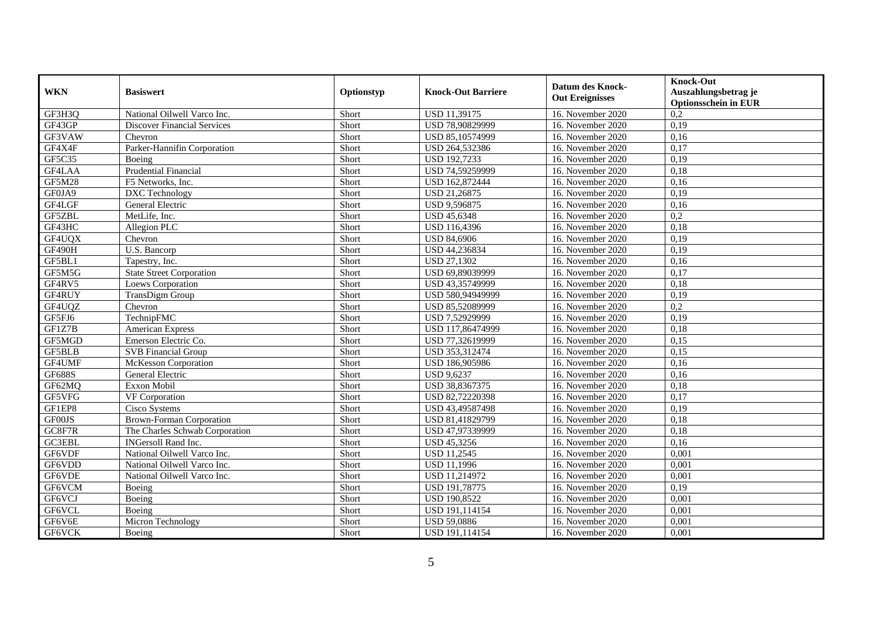| <b>WKN</b>    | <b>Basiswert</b>                   | Optionstyp | <b>Knock-Out Barriere</b> | <b>Datum des Knock-</b><br><b>Out Ereignisses</b> | <b>Knock-Out</b><br>Auszahlungsbetrag je<br><b>Optionsschein in EUR</b> |
|---------------|------------------------------------|------------|---------------------------|---------------------------------------------------|-------------------------------------------------------------------------|
| GF3H3Q        | National Oilwell Varco Inc.        | Short      | USD 11,39175              | 16. November 2020                                 | $\overline{0,2}$                                                        |
| GF43GP        | <b>Discover Financial Services</b> | Short      | USD 78,90829999           | 16. November 2020                                 | 0,19                                                                    |
| GF3VAW        | Chevron                            | Short      | USD 85,10574999           | 16. November 2020                                 | 0,16                                                                    |
| GF4X4F        | Parker-Hannifin Corporation        | Short      | USD 264,532386            | 16. November 2020                                 | 0,17                                                                    |
| GF5C35        | Boeing                             | Short      | USD 192,7233              | 16. November 2020                                 | 0,19                                                                    |
| GF4LAA        | <b>Prudential Financial</b>        | Short      | USD 74,59259999           | 16. November 2020                                 | 0,18                                                                    |
| <b>GF5M28</b> | F5 Networks, Inc.                  | Short      | USD 162,872444            | 16. November 2020                                 | 0,16                                                                    |
| GF0JA9        | DXC Technology                     | Short      | USD 21,26875              | 16. November 2020                                 | 0,19                                                                    |
| GF4LGF        | General Electric                   | Short      | USD 9,596875              | 16. November 2020                                 | 0,16                                                                    |
| GF5ZBL        | MetLife, Inc.                      | Short      | <b>USD 45,6348</b>        | 16. November 2020                                 | 0,2                                                                     |
| GF43HC        | Allegion PLC                       | Short      | USD 116,4396              | 16. November 2020                                 | 0,18                                                                    |
| GF4UQX        | Chevron                            | Short      | <b>USD 84,6906</b>        | 16. November 2020                                 | 0,19                                                                    |
| GF490H        | U.S. Bancorp                       | Short      | USD 44,236834             | 16. November 2020                                 | 0,19                                                                    |
| GF5BL1        | Tapestry, Inc.                     | Short      | <b>USD 27.1302</b>        | 16. November 2020                                 | 0,16                                                                    |
| GF5M5G        | <b>State Street Corporation</b>    | Short      | USD 69,89039999           | 16. November 2020                                 | 0,17                                                                    |
| GF4RV5        | Loews Corporation                  | Short      | USD 43,35749999           | 16. November 2020                                 | 0,18                                                                    |
| GF4RUY        | TransDigm Group                    | Short      | USD 580,94949999          | 16. November 2020                                 | 0,19                                                                    |
| GF4UQZ        | Chevron                            | Short      | USD 85,52089999           | 16. November 2020                                 | $\overline{0,2}$                                                        |
| GF5FJ6        | TechnipFMC                         | Short      | USD 7,52929999            | 16. November 2020                                 | 0,19                                                                    |
| GF1Z7B        | American Express                   | Short      | USD 117,86474999          | 16. November 2020                                 | 0,18                                                                    |
| GF5MGD        | Emerson Electric Co.               | Short      | USD 77,32619999           | 16. November 2020                                 | 0,15                                                                    |
| <b>GF5BLB</b> | <b>SVB</b> Financial Group         | Short      | USD 353,312474            | 16. November 2020                                 | 0,15                                                                    |
| GF4UMF        | <b>McKesson Corporation</b>        | Short      | USD 186,905986            | 16. November 2020                                 | 0,16                                                                    |
| <b>GF688S</b> | General Electric                   | Short      | <b>USD 9,6237</b>         | 16. November 2020                                 | 0,16                                                                    |
| GF62MQ        | Exxon Mobil                        | Short      | USD 38,8367375            | 16. November 2020                                 | 0,18                                                                    |
| GF5VFG        | VF Corporation                     | Short      | USD 82,72220398           | 16. November 2020                                 | 0,17                                                                    |
| GF1EP8        | Cisco Systems                      | Short      | USD 43,49587498           | 16. November 2020                                 | 0,19                                                                    |
| GF00JS        | Brown-Forman Corporation           | Short      | USD 81,41829799           | 16. November 2020                                 | 0,18                                                                    |
| GC8F7R        | The Charles Schwab Corporation     | Short      | USD 47,97339999           | 16. November 2020                                 | 0,18                                                                    |
| GC3EBL        | <b>INGersoll Rand Inc.</b>         | Short      | USD 45,3256               | 16. November 2020                                 | 0.16                                                                    |
| GF6VDF        | National Oilwell Varco Inc.        | Short      | <b>USD 11,2545</b>        | 16. November 2020                                 | 0,001                                                                   |
| GF6VDD        | National Oilwell Varco Inc.        | Short      | <b>USD 11,1996</b>        | 16. November 2020                                 | 0,001                                                                   |
| GF6VDE        | National Oilwell Varco Inc.        | Short      | USD 11,214972             | 16. November 2020                                 | 0,001                                                                   |
| GF6VCM        | Boeing                             | Short      | USD 191,78775             | 16. November 2020                                 | 0,19                                                                    |
| GF6VCJ        | Boeing                             | Short      | <b>USD 190,8522</b>       | 16. November 2020                                 | 0,001                                                                   |
| GF6VCL        | Boeing                             | Short      | USD 191,114154            | 16. November 2020                                 | 0,001                                                                   |
| GF6V6E        | Micron Technology                  | Short      | USD 59,0886               | 16. November 2020                                 | 0,001                                                                   |
| GF6VCK        | Boeing                             | Short      | USD 191,114154            | 16. November 2020                                 | 0,001                                                                   |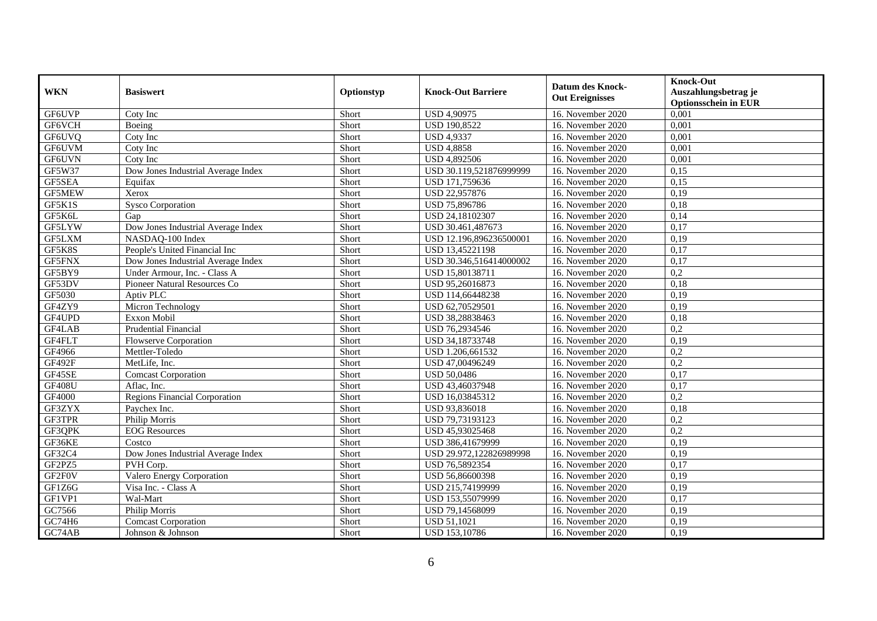| <b>WKN</b>    | <b>Basiswert</b>                     | Optionstyp | <b>Knock-Out Barriere</b> | Datum des Knock-<br><b>Out Ereignisses</b> | <b>Knock-Out</b><br>Auszahlungsbetrag je<br><b>Optionsschein in EUR</b> |
|---------------|--------------------------------------|------------|---------------------------|--------------------------------------------|-------------------------------------------------------------------------|
| GF6UVP        | Coty Inc                             | Short      | <b>USD 4,90975</b>        | 16. November 2020                          | 0,001                                                                   |
| <b>GF6VCH</b> | Boeing                               | Short      | <b>USD 190,8522</b>       | 16. November 2020                          | 0,001                                                                   |
| GF6UVQ        | Coty Inc                             | Short      | <b>USD 4,9337</b>         | 16. November 2020                          | 0,001                                                                   |
| GF6UVM        | Coty Inc                             | Short      | <b>USD 4,8858</b>         | 16. November 2020                          | 0,001                                                                   |
| GF6UVN        | Coty Inc                             | Short      | <b>USD 4,892506</b>       | 16. November 2020                          | 0,001                                                                   |
| GF5W37        | Dow Jones Industrial Average Index   | Short      | USD 30.119,521876999999   | 16. November 2020                          | 0,15                                                                    |
| GF5SEA        | Equifax                              | Short      | USD 171,759636            | 16. November 2020                          | 0,15                                                                    |
| <b>GF5MEW</b> | Xerox                                | Short      | USD 22,957876             | 16. November 2020                          | 0,19                                                                    |
| GF5K1S        | <b>Sysco Corporation</b>             | Short      | USD 75,896786             | 16. November 2020                          | 0,18                                                                    |
| GF5K6L        | Gap                                  | Short      | USD 24,18102307           | 16. November 2020                          | 0,14                                                                    |
| GF5LYW        | Dow Jones Industrial Average Index   | Short      | USD 30.461,487673         | 16. November 2020                          | 0,17                                                                    |
| GF5LXM        | NASDAQ-100 Index                     | Short      | USD 12.196,896236500001   | 16. November 2020                          | 0,19                                                                    |
| GF5K8S        | People's United Financial Inc        | Short      | USD 13,45221198           | 16. November 2020                          | 0,17                                                                    |
| GF5FNX        | Dow Jones Industrial Average Index   | Short      | USD 30.346,516414000002   | 16. November 2020                          | 0,17                                                                    |
| GF5BY9        | Under Armour, Inc. - Class A         | Short      | USD 15,80138711           | 16. November 2020                          | 0,2                                                                     |
| GF53DV        | Pioneer Natural Resources Co         | Short      | USD 95,26016873           | 16. November 2020                          | 0,18                                                                    |
| GF5030        | Aptiv PLC                            | Short      | USD 114,66448238          | 16. November 2020                          | 0,19                                                                    |
| GF4ZY9        | Micron Technology                    | Short      | USD 62,70529501           | 16. November 2020                          | 0,19                                                                    |
| GF4UPD        | Exxon Mobil                          | Short      | USD 38,28838463           | 16. November 2020                          | 0,18                                                                    |
| GF4LAB        | <b>Prudential Financial</b>          | Short      | USD 76,2934546            | 16. November 2020                          | $\overline{0,2}$                                                        |
| GF4FLT        | <b>Flowserve Corporation</b>         | Short      | USD 34,18733748           | 16. November 2020                          | 0,19                                                                    |
| GF4966        | Mettler-Toledo                       | Short      | USD 1.206,661532          | 16. November 2020                          | 0,2                                                                     |
| GF492F        | MetLife, Inc.                        | Short      | USD 47,00496249           | 16. November 2020                          | 0,2                                                                     |
| GF45SE        | <b>Comcast Corporation</b>           | Short      | <b>USD 50,0486</b>        | 16. November 2020                          | 0,17                                                                    |
| <b>GF408U</b> | Aflac. Inc.                          | Short      | USD 43,46037948           | 16. November 2020                          | 0,17                                                                    |
| GF4000        | <b>Regions Financial Corporation</b> | Short      | USD 16,03845312           | 16. November 2020                          | 0,2                                                                     |
| GF3ZYX        | Paychex Inc.                         | Short      | USD 93,836018             | 16. November 2020                          | 0,18                                                                    |
| GF3TPR        | Philip Morris                        | Short      | USD 79,73193123           | 16. November 2020                          | $\overline{0,2}$                                                        |
| GF3QPK        | <b>EOG</b> Resources                 | Short      | USD 45,93025468           | 16. November 2020                          | $\overline{0,2}$                                                        |
| GF36KE        | Costco                               | Short      | USD 386,41679999          | 16. November 2020                          | 0,19                                                                    |
| GF32C4        | Dow Jones Industrial Average Index   | Short      | USD 29.972,122826989998   | 16. November 2020                          | 0,19                                                                    |
| GF2PZ5        | PVH Corp.                            | Short      | USD 76,5892354            | 16. November 2020                          | 0,17                                                                    |
| GF2F0V        | Valero Energy Corporation            | Short      | USD 56,86600398           | 16. November 2020                          | 0,19                                                                    |
| GF1Z6G        | Visa Inc. - Class A                  | Short      | USD 215,74199999          | 16. November 2020                          | 0,19                                                                    |
| GF1VP1        | Wal-Mart                             | Short      | USD 153,55079999          | 16. November 2020                          | 0,17                                                                    |
| GC7566        | Philip Morris                        | Short      | USD 79,14568099           | 16. November 2020                          | 0,19                                                                    |
| GC74H6        | <b>Comcast Corporation</b>           | Short      | <b>USD 51,1021</b>        | 16. November 2020                          | 0,19                                                                    |
| GC74AB        | Johnson & Johnson                    | Short      | <b>USD 153,10786</b>      | 16. November 2020                          | 0,19                                                                    |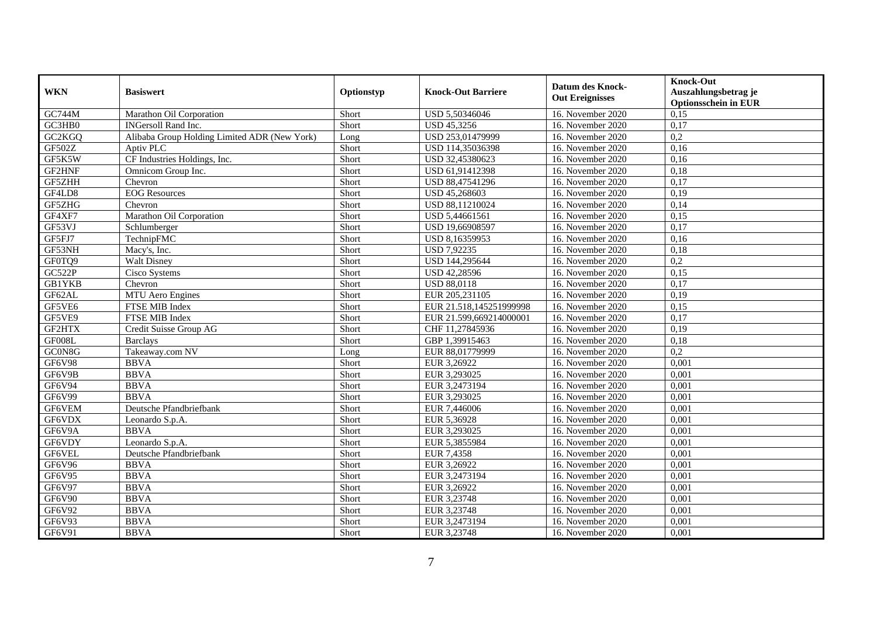| <b>WKN</b>          | <b>Basiswert</b>                             | Optionstyp | <b>Knock-Out Barriere</b> | <b>Datum des Knock-</b><br><b>Out Ereignisses</b> | <b>Knock-Out</b><br>Auszahlungsbetrag je<br><b>Optionsschein in EUR</b> |
|---------------------|----------------------------------------------|------------|---------------------------|---------------------------------------------------|-------------------------------------------------------------------------|
| GC744M              | Marathon Oil Corporation                     | Short      | USD 5,50346046            | 16. November 2020                                 | 0,15                                                                    |
| GC3HB0              | <b>INGersoll Rand Inc.</b>                   | Short      | USD 45,3256               | 16. November 2020                                 | 0,17                                                                    |
| GC2KGQ              | Alibaba Group Holding Limited ADR (New York) | Long       | USD 253,01479999          | 16. November 2020                                 | 0,2                                                                     |
| GF502Z              | Aptiv PLC                                    | Short      | USD 114,35036398          | 16. November 2020                                 | 0,16                                                                    |
| GF5K5W              | CF Industries Holdings, Inc.                 | Short      | USD 32,45380623           | 16. November 2020                                 | 0,16                                                                    |
| GF2HNF              | Omnicom Group Inc.                           | Short      | USD 61,91412398           | 16. November 2020                                 | 0,18                                                                    |
| GF5ZHH              | Chevron                                      | Short      | USD 88,47541296           | 16. November 2020                                 | 0,17                                                                    |
| GF4LD8              | <b>EOG</b> Resources                         | Short      | USD 45,268603             | 16. November 2020                                 | 0,19                                                                    |
| GF5ZHG              | Chevron                                      | Short      | USD 88,11210024           | 16. November 2020                                 | 0,14                                                                    |
| GF4XF7              | Marathon Oil Corporation                     | Short      | USD 5,44661561            | 16. November 2020                                 | 0,15                                                                    |
| GF53VJ              | Schlumberger                                 | Short      | USD 19,66908597           | 16. November 2020                                 | 0,17                                                                    |
| GF5FJ7              | TechnipFMC                                   | Short      | USD 8,16359953            | 16. November 2020                                 | 0,16                                                                    |
| GF53NH              | Macy's, Inc.                                 | Short      | <b>USD 7,92235</b>        | 16. November 2020                                 | 0,18                                                                    |
| GF0TQ9              | <b>Walt Disney</b>                           | Short      | USD 144,295644            | 16. November 2020                                 | 0,2                                                                     |
| <b>GC522P</b>       | Cisco Systems                                | Short      | USD 42,28596              | 16. November 2020                                 | 0,15                                                                    |
| <b>GB1YKB</b>       | Chevron                                      | Short      | <b>USD 88,0118</b>        | 16. November 2020                                 | 0,17                                                                    |
| GF62AL              | MTU Aero Engines                             | Short      | EUR 205,231105            | 16. November 2020                                 | 0,19                                                                    |
| GF5VE6              | FTSE MIB Index                               | Short      | EUR 21.518,145251999998   | 16. November 2020                                 | 0,15                                                                    |
| GF5VE9              | FTSE MIB Index                               | Short      | EUR 21.599,669214000001   | 16. November 2020                                 | 0,17                                                                    |
| GF2HTX              | Credit Suisse Group AG                       | Short      | CHF 11,27845936           | 16. November 2020                                 | 0,19                                                                    |
| GF008L              | <b>Barclays</b>                              | Short      | GBP 1,39915463            | 16. November 2020                                 | 0,18                                                                    |
| GC0N8G              | Takeaway.com NV                              | Long       | EUR 88,01779999           | 16. November 2020                                 | $\overline{0.2}$                                                        |
| GF6V98              | <b>BBVA</b>                                  | Short      | EUR 3,26922               | 16. November 2020                                 | 0,001                                                                   |
| GF6V9B              | <b>BBVA</b>                                  | Short      | EUR 3,293025              | 16. November 2020                                 | 0,001                                                                   |
| GF6V94              | <b>BBVA</b>                                  | Short      | EUR 3,2473194             | 16. November 2020                                 | 0,001                                                                   |
| GF6V99              | <b>BBVA</b>                                  | Short      | EUR 3,293025              | 16. November 2020                                 | 0,001                                                                   |
| GF6VEM              | Deutsche Pfandbriefbank                      | Short      | EUR 7,446006              | 16. November 2020                                 | 0,001                                                                   |
| GF6VDX              | Leonardo S.p.A.                              | Short      | EUR 5,36928               | 16. November 2020                                 | 0,001                                                                   |
| $GF6\overline{V9A}$ | <b>BBVA</b>                                  | Short      | EUR 3,293025              | 16. November 2020                                 | 0,001                                                                   |
| GF6VDY              | Leonardo S.p.A.                              | Short      | EUR 5,3855984             | 16. November 2020                                 | 0.001                                                                   |
| GF6VEL              | Deutsche Pfandbriefbank                      | Short      | EUR 7,4358                | 16. November 2020                                 | 0,001                                                                   |
| GF6V96              | <b>BBVA</b>                                  | Short      | EUR 3,26922               | 16. November 2020                                 | 0,001                                                                   |
| GF6V95              | <b>BBVA</b>                                  | Short      | EUR 3,2473194             | 16. November 2020                                 | 0,001                                                                   |
| GF6V97              | <b>BBVA</b>                                  | Short      | EUR 3,26922               | 16. November 2020                                 | 0,001                                                                   |
| GF6V90              | <b>BBVA</b>                                  | Short      | EUR 3,23748               | 16. November 2020                                 | 0,001                                                                   |
| GF6V92              | <b>BBVA</b>                                  | Short      | EUR 3,23748               | 16. November 2020                                 | 0,001                                                                   |
| GF6V93              | <b>BBVA</b>                                  | Short      | EUR 3,2473194             | 16. November 2020                                 | 0,001                                                                   |
| GF6V91              | <b>BBVA</b>                                  | Short      | EUR 3,23748               | 16. November 2020                                 | 0,001                                                                   |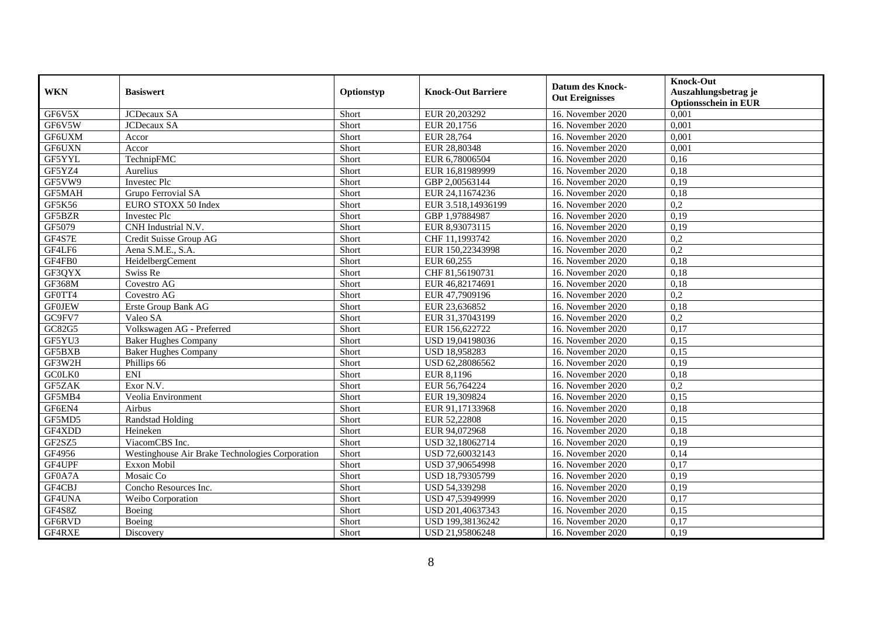| <b>WKN</b>    | <b>Basiswert</b>                                | Optionstyp | <b>Knock-Out Barriere</b> | <b>Datum des Knock-</b><br><b>Out Ereignisses</b> | <b>Knock-Out</b><br>Auszahlungsbetrag je<br><b>Optionsschein in EUR</b> |
|---------------|-------------------------------------------------|------------|---------------------------|---------------------------------------------------|-------------------------------------------------------------------------|
| GF6V5X        | <b>JCDecaux SA</b>                              | Short      | EUR 20,203292             | 16. November 2020                                 | 0,001                                                                   |
| GF6V5W        | <b>JCDecaux SA</b>                              | Short      | EUR 20,1756               | 16. November 2020                                 | 0,001                                                                   |
| GF6UXM        | Accor                                           | Short      | EUR 28,764                | 16. November 2020                                 | 0,001                                                                   |
| GF6UXN        | Accor                                           | Short      | EUR 28,80348              | 16. November 2020                                 | 0,001                                                                   |
| GF5YYL        | TechnipFMC                                      | Short      | EUR 6,78006504            | 16. November $2020$                               | 0,16                                                                    |
| GF5YZ4        | Aurelius                                        | Short      | EUR 16,81989999           | 16. November 2020                                 | 0,18                                                                    |
| GF5VW9        | Investec Plc                                    | Short      | GBP 2,00563144            | 16. November 2020                                 | 0,19                                                                    |
| <b>GF5MAH</b> | Grupo Ferrovial SA                              | Short      | EUR 24,11674236           | 16. November 2020                                 | 0,18                                                                    |
| <b>GF5K56</b> | EURO STOXX 50 Index                             | Short      | EUR 3.518,14936199        | 16. November 2020                                 | $\overline{0,2}$                                                        |
| GF5BZR        | <b>Investec Plc</b>                             | Short      | GBP 1,97884987            | 16. November 2020                                 | 0,19                                                                    |
| GF5079        | CNH Industrial N.V.                             | Short      | EUR 8,93073115            | 16. November 2020                                 | 0,19                                                                    |
| GF4S7E        | Credit Suisse Group AG                          | Short      | CHF 11,1993742            | 16. November 2020                                 | 0,2                                                                     |
| GF4LF6        | Aena S.M.E., S.A.                               | Short      | EUR 150,22343998          | 16. November 2020                                 | $\overline{0,2}$                                                        |
| GF4FB0        | HeidelbergCement                                | Short      | EUR 60,255                | 16. November 2020                                 | 0,18                                                                    |
| GF3QYX        | Swiss Re                                        | Short      | CHF 81,56190731           | 16. November 2020                                 | 0,18                                                                    |
| <b>GF368M</b> | Covestro AG                                     | Short      | EUR 46,82174691           | 16. November 2020                                 | 0,18                                                                    |
| GF0TT4        | Covestro AG                                     | Short      | EUR 47,7909196            | 16. November 2020                                 | 0,2                                                                     |
| <b>GF0JEW</b> | Erste Group Bank AG                             | Short      | EUR 23,636852             | 16. November 2020                                 | 0,18                                                                    |
| GC9FV7        | Valeo SA                                        | Short      | EUR 31,37043199           | 16. November 2020                                 | $\overline{0,2}$                                                        |
| GC82G5        | Volkswagen AG - Preferred                       | Short      | EUR 156,622722            | 16. November 2020                                 | 0,17                                                                    |
| GF5YU3        | <b>Baker Hughes Company</b>                     | Short      | USD 19,04198036           | 16. November 2020                                 | 0,15                                                                    |
| GF5BXB        | <b>Baker Hughes Company</b>                     | Short      | USD 18,958283             | 16. November 2020                                 | 0,15                                                                    |
| GF3W2H        | Phillips 66                                     | Short      | USD 62,28086562           | 16. November 2020                                 | 0,19                                                                    |
| GC0LK0        | <b>ENI</b>                                      | Short      | EUR 8,1196                | 16. November 2020                                 | 0,18                                                                    |
| GF5ZAK        | Exor N.V.                                       | Short      | EUR 56,764224             | 16. November 2020                                 | 0,2                                                                     |
| GF5MB4        | Veolia Environment                              | Short      | EUR 19,309824             | 16. November 2020                                 | 0,15                                                                    |
| GF6EN4        | Airbus                                          | Short      | EUR 91,17133968           | 16. November 2020                                 | 0,18                                                                    |
| GF5MD5        | <b>Randstad Holding</b>                         | Short      | EUR 52,22808              | 16. November 2020                                 | 0,15                                                                    |
| GF4XDD        | Heineken                                        | Short      | EUR 94,072968             | 16. November 2020                                 | 0,18                                                                    |
| GF2SZ5        | ViacomCBS Inc.                                  | Short      | USD 32,18062714           | 16. November 2020                                 | 0,19                                                                    |
| GF4956        | Westinghouse Air Brake Technologies Corporation | Short      | USD 72,60032143           | 16. November 2020                                 | 0,14                                                                    |
| GF4UPF        | Exxon Mobil                                     | Short      | USD 37,90654998           | 16. November 2020                                 | 0,17                                                                    |
| GF0A7A        | Mosaic Co                                       | Short      | USD 18,79305799           | 16. November 2020                                 | 0,19                                                                    |
| GF4CBJ        | Concho Resources Inc.                           | Short      | USD 54,339298             | 16. November 2020                                 | 0,19                                                                    |
| GF4UNA        | Weibo Corporation                               | Short      | USD 47,53949999           | 16. November 2020                                 | 0,17                                                                    |
| GF4S8Z        | Boeing                                          | Short      | USD 201,40637343          | 16. November 2020                                 | 0,15                                                                    |
| GF6RVD        | Boeing                                          | Short      | USD 199,38136242          | 16. November 2020                                 | 0,17                                                                    |
| GF4RXE        | Discovery                                       | Short      | USD 21,95806248           | 16. November 2020                                 | 0,19                                                                    |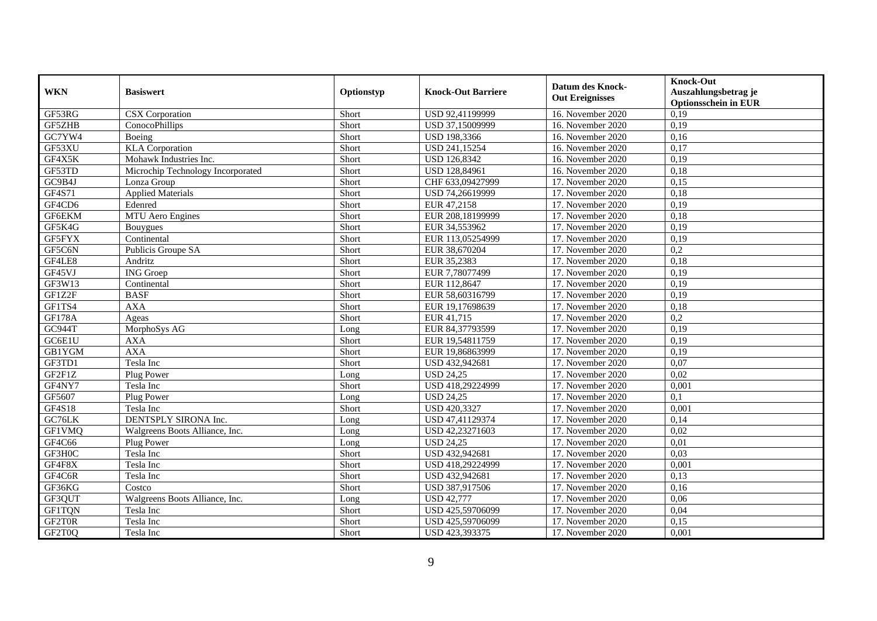| <b>WKN</b>                     | <b>Basiswert</b>                  | Optionstyp | <b>Knock-Out Barriere</b> | Datum des Knock-<br><b>Out Ereignisses</b> | <b>Knock-Out</b><br>Auszahlungsbetrag je<br><b>Optionsschein in EUR</b> |
|--------------------------------|-----------------------------------|------------|---------------------------|--------------------------------------------|-------------------------------------------------------------------------|
| $GF5\overline{3RG}$            | <b>CSX</b> Corporation            | Short      | USD 92,41199999           | 16. November 2020                          | 0,19                                                                    |
| GF5ZHB                         | ConocoPhillips                    | Short      | USD 37,15009999           | 16. November 2020                          | 0,19                                                                    |
| G <sub>C7</sub> <sub>YW4</sub> | Boeing                            | Short      | USD 198,3366              | 16. November 2020                          | 0,16                                                                    |
| GF53XU                         | <b>KLA</b> Corporation            | Short      | USD 241,15254             | 16. November 2020                          | 0,17                                                                    |
| GF4X5K                         | Mohawk Industries Inc.            | Short      | <b>USD 126,8342</b>       | 16. November 2020                          | 0,19                                                                    |
| GF53TD                         | Microchip Technology Incorporated | Short      | USD 128,84961             | 16. November 2020                          | 0,18                                                                    |
| GC9B4J                         | Lonza Group                       | Short      | CHF 633,09427999          | 17. November 2020                          | 0,15                                                                    |
| GF4S71                         | <b>Applied Materials</b>          | Short      | USD 74,26619999           | 17. November 2020                          | 0,18                                                                    |
| GF4CD6                         | Edenred                           | Short      | EUR 47,2158               | 17. November 2020                          | 0,19                                                                    |
| GF6EKM                         | MTU Aero Engines                  | Short      | EUR 208,18199999          | 17. November 2020                          | 0,18                                                                    |
| GF5K4G                         | Bouygues                          | Short      | EUR 34,553962             | 17. November 2020                          | 0,19                                                                    |
| GF5FYX                         | Continental                       | Short      | EUR 113,05254999          | 17. November 2020                          | 0,19                                                                    |
| GF5C6N                         | Publicis Groupe SA                | Short      | EUR 38,670204             | 17. November 2020                          | $\overline{0.2}$                                                        |
| GF4LE8                         | Andritz                           | Short      | EUR 35,2383               | 17. November 2020                          | 0,18                                                                    |
| GF45VJ                         | <b>ING</b> Groep                  | Short      | EUR 7,78077499            | 17. November 2020                          | 0,19                                                                    |
| GF3W13                         | Continental                       | Short      | EUR 112,8647              | 17. November 2020                          | 0,19                                                                    |
| GF1Z2F                         | <b>BASF</b>                       | Short      | EUR 58,60316799           | 17. November 2020                          | 0,19                                                                    |
| GF1TS4                         | <b>AXA</b>                        | Short      | EUR 19,17698639           | 17. November 2020                          | 0,18                                                                    |
| GF178A                         | Ageas                             | Short      | EUR 41,715                | 17. November 2020                          | 0,2                                                                     |
| <b>GC944T</b>                  | MorphoSys AG                      | Long       | EUR 84,37793599           | 17. November 2020                          | 0,19                                                                    |
| GC6E1U                         | <b>AXA</b>                        | Short      | EUR 19,54811759           | 17. November 2020                          | 0,19                                                                    |
| <b>GB1YGM</b>                  | <b>AXA</b>                        | Short      | EUR 19,86863999           | 17. November 2020                          | 0,19                                                                    |
| GF3TD1                         | Tesla Inc                         | Short      | USD 432,942681            | 17. November 2020                          | 0,07                                                                    |
| GF2F1Z                         | Plug Power                        | Long       | $\overline{$ USD 24,25    | 17. November 2020                          | 0,02                                                                    |
| GF4NY7                         | Tesla Inc                         | Short      | USD 418,29224999          | 17. November 2020                          | 0,001                                                                   |
| GF5607                         | Plug Power                        | Long       | <b>USD 24,25</b>          | 17. November 2020                          | 0,1                                                                     |
| <b>GF4S18</b>                  | Tesla Inc                         | Short      | USD 420,3327              | 17. November 2020                          | 0,001                                                                   |
| GC76LK                         | DENTSPLY SIRONA Inc.              | Long       | USD 47,41129374           | 17. November 2020                          | 0,14                                                                    |
| GF1VMQ                         | Walgreens Boots Alliance, Inc.    | Long       | USD 42,23271603           | 17. November 2020                          | 0,02                                                                    |
| GF4C66                         | Plug Power                        | Long       | <b>USD 24,25</b>          | 17. November 2020                          | 0,01                                                                    |
| GF3H0C                         | Tesla Inc                         | Short      | USD 432,942681            | 17. November 2020                          | 0,03                                                                    |
| GF4F8X                         | Tesla Inc                         | Short      | USD 418,29224999          | 17. November 2020                          | 0,001                                                                   |
| GF4C6R                         | Tesla Inc                         | Short      | USD 432,942681            | 17. November 2020                          | 0,13                                                                    |
| GF36KG                         | Costco                            | Short      | USD 387,917506            | 17. November 2020                          | 0,16                                                                    |
| GF3QUT                         | Walgreens Boots Alliance, Inc.    | Long       | <b>USD 42,777</b>         | 17. November 2020                          | 0,06                                                                    |
| <b>GF1TQN</b>                  | Tesla Inc                         | Short      | USD 425,59706099          | 17. November 2020                          | 0,04                                                                    |
| GF2T0R                         | Tesla Inc                         | Short      | USD 425,59706099          | 17. November 2020                          | 0,15                                                                    |
| GF2T0Q                         | Tesla Inc                         | Short      | USD 423,393375            | 17. November 2020                          | 0,001                                                                   |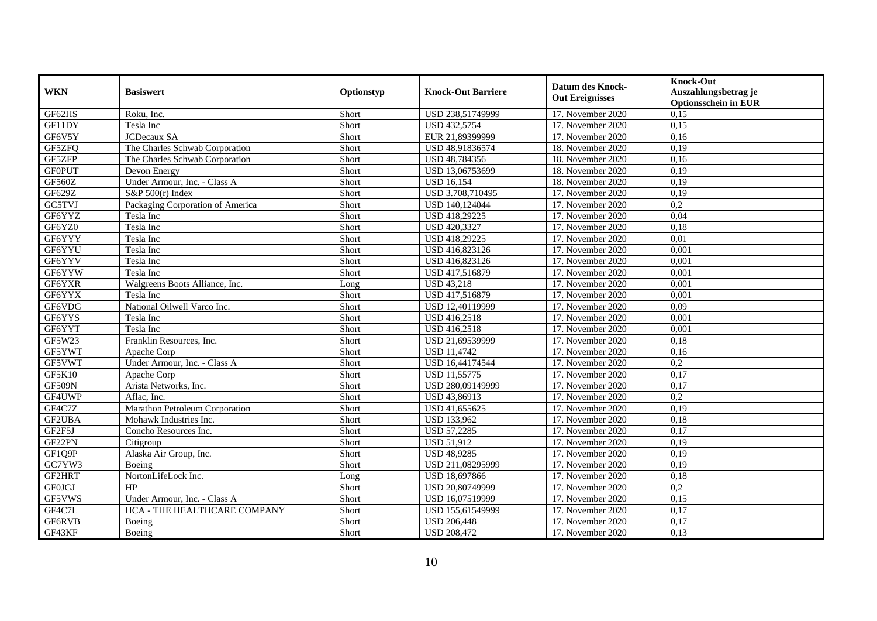| <b>WKN</b>    | <b>Basiswert</b>                 | Optionstyp | <b>Knock-Out Barriere</b> | Datum des Knock-<br><b>Out Ereignisses</b> | <b>Knock-Out</b><br>Auszahlungsbetrag je<br><b>Optionsschein in EUR</b> |
|---------------|----------------------------------|------------|---------------------------|--------------------------------------------|-------------------------------------------------------------------------|
| GF62HS        | Roku, Inc.                       | Short      | USD 238,51749999          | 17. November 2020                          | 0,15                                                                    |
| GF11DY        | Tesla Inc                        | Short      | USD 432,5754              | 17. November 2020                          | 0,15                                                                    |
| GF6V5Y        | <b>JCDecaux SA</b>               | Short      | EUR 21,89399999           | 17. November 2020                          | 0,16                                                                    |
| GF5ZFQ        | The Charles Schwab Corporation   | Short      | USD 48,91836574           | 18. November 2020                          | 0,19                                                                    |
| GF5ZFP        | The Charles Schwab Corporation   | Short      | USD 48,784356             | 18. November 2020                          | 0,16                                                                    |
| <b>GFOPUT</b> | Devon Energy                     | Short      | USD 13,06753699           | 18. November 2020                          | 0,19                                                                    |
| <b>GF560Z</b> | Under Armour, Inc. - Class A     | Short      | <b>USD 16,154</b>         | 18. November 2020                          | 0,19                                                                    |
| GF629Z        | $S\&P 500(r)$ Index              | Short      | USD 3.708,710495          | 17. November 2020                          | 0,19                                                                    |
| GC5TVJ        | Packaging Corporation of America | Short      | USD 140,124044            | 17. November 2020                          | 0,2                                                                     |
| GF6YYZ        | Tesla Inc                        | Short      | USD 418,29225             | 17. November 2020                          | 0,04                                                                    |
| GF6YZ0        | Tesla Inc                        | Short      | USD 420,3327              | 17. November 2020                          | 0,18                                                                    |
| GF6YYY        | Tesla Inc                        | Short      | USD 418,29225             | 17. November 2020                          | 0.01                                                                    |
| GF6YYU        | Tesla Inc                        | Short      | USD 416,823126            | 17. November 2020                          | 0,001                                                                   |
| GF6YYV        | Tesla Inc                        | Short      | USD 416,823126            | 17. November 2020                          | 0,001                                                                   |
| GF6YYW        | Tesla Inc                        | Short      | USD 417,516879            | 17. November 2020                          | 0,001                                                                   |
| GF6YXR        | Walgreens Boots Alliance, Inc.   | Long       | <b>USD 43,218</b>         | 17. November 2020                          | 0,001                                                                   |
| GF6YYX        | Tesla Inc                        | Short      | USD 417,516879            | 17. November 2020                          | 0,001                                                                   |
| GF6VDG        | National Oilwell Varco Inc.      | Short      | USD 12,40119999           | 17. November 2020                          | 0,09                                                                    |
| GF6YYS        | Tesla Inc                        | Short      | USD 416,2518              | 17. November 2020                          | 0,001                                                                   |
| GF6YYT        | Tesla Inc                        | Short      | USD 416,2518              | 17. November 2020                          | 0,001                                                                   |
| GF5W23        | Franklin Resources, Inc.         | Short      | USD 21,69539999           | 17. November 2020                          | 0,18                                                                    |
| GF5YWT        | Apache Corp                      | Short      | <b>USD 11,4742</b>        | 17. November 2020                          | 0,16                                                                    |
| GF5VWT        | Under Armour, Inc. - Class A     | Short      | USD 16,44174544           | 17. November 2020                          | 0,2                                                                     |
| <b>GF5K10</b> | Apache Corp                      | Short      | <b>USD 11,55775</b>       | 17. November 2020                          | 0,17                                                                    |
| <b>GF509N</b> | Arista Networks, Inc.            | Short      | USD 280,09149999          | 17. November 2020                          | 0,17                                                                    |
| GF4UWP        | Aflac, Inc.                      | Short      | USD 43,86913              | 17. November 2020                          | $\overline{0.2}$                                                        |
| GF4C7Z        | Marathon Petroleum Corporation   | Short      | USD 41,655625             | 17. November 2020                          | 0,19                                                                    |
| GF2UBA        | Mohawk Industries Inc.           | Short      | <b>USD 133,962</b>        | 17. November 2020                          | 0,18                                                                    |
| GF2F5J        | Concho Resources Inc.            | Short      | <b>USD 57,2285</b>        | 17. November 2020                          | 0,17                                                                    |
| GF22PN        | Citigroup                        | Short      | <b>USD 51,912</b>         | 17. November 2020                          | 0,19                                                                    |
| GF1Q9P        | Alaska Air Group, Inc.           | Short      | USD 48,9285               | 17. November 2020                          | 0,19                                                                    |
| GC7YW3        | Boeing                           | Short      | USD 211,08295999          | 17. November 2020                          | 0,19                                                                    |
| GF2HRT        | NortonLifeLock Inc.              | Long       | USD 18,697866             | 17. November 2020                          | 0,18                                                                    |
| <b>GF0JGJ</b> | HP                               | Short      | USD 20,80749999           | 17. November 2020                          | $\overline{0.2}$                                                        |
| GF5VWS        | Under Armour, Inc. - Class A     | Short      | USD 16,07519999           | 17. November 2020                          | 0,15                                                                    |
| GF4C7L        | HCA - THE HEALTHCARE COMPANY     | Short      | USD 155,61549999          | 17. November 2020                          | 0,17                                                                    |
| GF6RVB        | Boeing                           | Short      | <b>USD 206,448</b>        | 17. November 2020                          | 0,17                                                                    |
| GF43KF        | Boeing                           | Short      | <b>USD 208,472</b>        | 17. November 2020                          | 0,13                                                                    |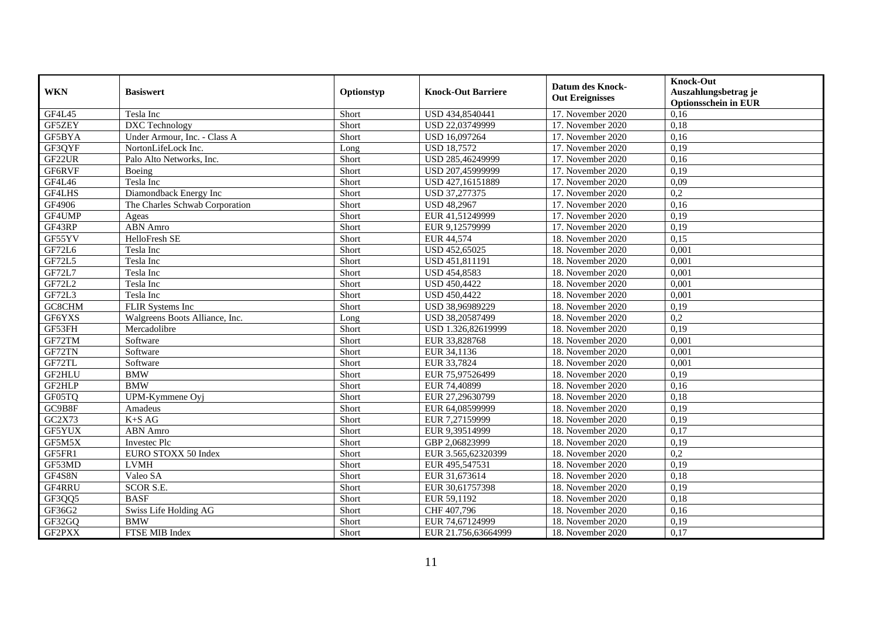| <b>WKN</b> | <b>Basiswert</b>               | Optionstyp | <b>Knock-Out Barriere</b> | <b>Datum des Knock-</b><br><b>Out Ereignisses</b> | <b>Knock-Out</b><br>Auszahlungsbetrag je<br><b>Optionsschein in EUR</b> |
|------------|--------------------------------|------------|---------------------------|---------------------------------------------------|-------------------------------------------------------------------------|
| GF4L45     | Tesla Inc                      | Short      | USD 434,8540441           | 17. November 2020                                 | 0,16                                                                    |
| GF5ZEY     | <b>DXC</b> Technology          | Short      | USD 22,03749999           | 17. November 2020                                 | 0,18                                                                    |
| GF5BYA     | Under Armour, Inc. - Class A   | Short      | USD 16,097264             | 17. November 2020                                 | 0,16                                                                    |
| GF3QYF     | NortonLifeLock Inc.            | Long       | <b>USD 18,7572</b>        | 17. November 2020                                 | 0,19                                                                    |
| GF22UR     | Palo Alto Networks, Inc.       | Short      | USD 285,46249999          | 17. November 2020                                 | 0,16                                                                    |
| GF6RVF     | Boeing                         | Short      | USD 207,45999999          | 17. November 2020                                 | 0,19                                                                    |
| GF4L46     | Tesla Inc                      | Short      | USD 427,16151889          | 17. November 2020                                 | 0,09                                                                    |
| GF4LHS     | Diamondback Energy Inc         | Short      | USD 37,277375             | 17. November 2020                                 | 0,2                                                                     |
| GF4906     | The Charles Schwab Corporation | Short      | <b>USD 48,2967</b>        | 17. November 2020                                 | 0,16                                                                    |
| GF4UMP     | Ageas                          | Short      | EUR 41,51249999           | 17. November 2020                                 | 0,19                                                                    |
| GF43RP     | <b>ABN</b> Amro                | Short      | EUR 9,12579999            | 17. November 2020                                 | 0,19                                                                    |
| GF55YV     | <b>HelloFresh SE</b>           | Short      | EUR 44,574                | 18. November 2020                                 | 0,15                                                                    |
| GF72L6     | Tesla Inc                      | Short      | USD 452,65025             | 18. November 2020                                 | 0,001                                                                   |
| GF72L5     | Tesla Inc                      | Short      | USD 451,811191            | 18. November 2020                                 | 0,001                                                                   |
| GF72L7     | Tesla Inc                      | Short      | USD 454,8583              | 18. November 2020                                 | 0,001                                                                   |
| GF72L2     | Tesla Inc                      | Short      | <b>USD 450,4422</b>       | 18. November 2020                                 | 0,001                                                                   |
| GF72L3     | Tesla Inc                      | Short      | USD 450,4422              | 18. November 2020                                 | 0,001                                                                   |
| GC8CHM     | FLIR Systems Inc               | Short      | USD 38,96989229           | 18. November 2020                                 | 0,19                                                                    |
| GF6YXS     | Walgreens Boots Alliance, Inc. | Long       | USD 38,20587499           | 18. November 2020                                 | $\overline{0,2}$                                                        |
| GF53FH     | Mercadolibre                   | Short      | USD 1.326,82619999        | 18. November 2020                                 | 0,19                                                                    |
| GF72TM     | Software                       | Short      | EUR 33,828768             | 18. November 2020                                 | 0,001                                                                   |
| GF72TN     | Software                       | Short      | EUR 34,1136               | 18. November 2020                                 | 0,001                                                                   |
| GF72TL     | Software                       | Short      | EUR 33,7824               | 18. November 2020                                 | 0,001                                                                   |
| GF2HLU     | <b>BMW</b>                     | Short      | EUR 75,97526499           | 18. November 2020                                 | 0,19                                                                    |
| GF2HLP     | <b>BMW</b>                     | Short      | EUR 74,40899              | 18. November 2020                                 | 0,16                                                                    |
| GF05TQ     | UPM-Kymmene Oyj                | Short      | EUR 27,29630799           | 18. November 2020                                 | 0,18                                                                    |
| GC9B8F     | Amadeus                        | Short      | EUR 64,08599999           | 18. November 2020                                 | 0,19                                                                    |
| GC2X73     | $K+SAG$                        | Short      | EUR 7,27159999            | 18. November 2020                                 | 0,19                                                                    |
| GF5YUX     | <b>ABN</b> Amro                | Short      | EUR 9,39514999            | 18. November 2020                                 | 0,17                                                                    |
| GF5M5X     | Investec Plc                   | Short      | GBP 2,06823999            | 18. November 2020                                 | 0,19                                                                    |
| GF5FR1     | EURO STOXX 50 Index            | Short      | EUR 3.565,62320399        | 18. November 2020                                 | 0,2                                                                     |
| GF53MD     | <b>LVMH</b>                    | Short      | EUR 495,547531            | 18. November 2020                                 | 0,19                                                                    |
| GF4S8N     | Valeo SA                       | Short      | EUR 31,673614             | 18. November 2020                                 | 0,18                                                                    |
| GF4RRU     | <b>SCOR S.E.</b>               | Short      | EUR 30,61757398           | 18. November 2020                                 | 0,19                                                                    |
| GF3QQ5     | <b>BASF</b>                    | Short      | EUR 59,1192               | 18. November 2020                                 | 0,18                                                                    |
| GF36G2     | Swiss Life Holding AG          | Short      | CHF 407,796               | 18. November 2020                                 | 0,16                                                                    |
| GF32GQ     | <b>BMW</b>                     | Short      | EUR 74,67124999           | 18. November 2020                                 | 0,19                                                                    |
| GF2PXX     | FTSE MIB Index                 | Short      | EUR 21.756,63664999       | 18. November 2020                                 | 0,17                                                                    |